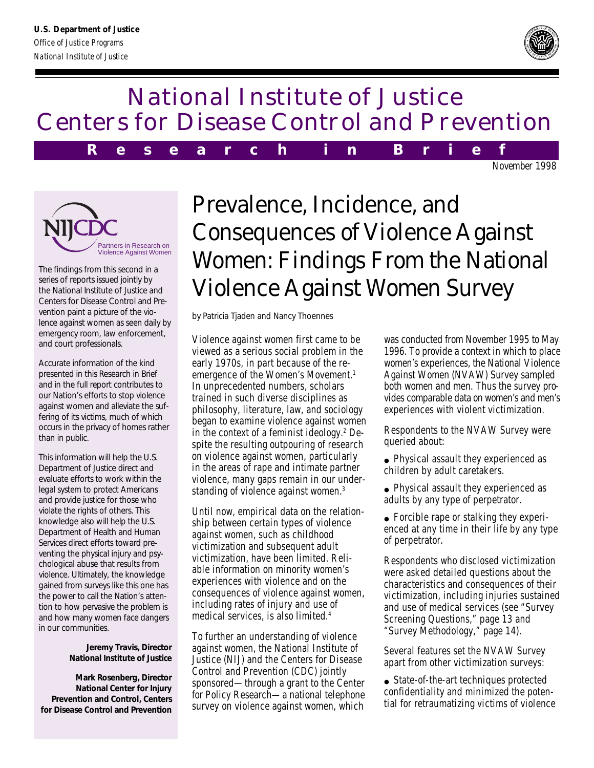

*November 1998*

# **R e s e a r c h i n B r i e f** National Institute of Justice Centers for Disease Control and Prevention



The findings from this second in a series of reports issued jointly by the National Institute of Justice and Centers for Disease Control and Prevention paint a picture of the violence against women as seen daily by emergency room, law enforcement, and court professionals.

Accurate information of the kind presented in this Research in Brief and in the full report contributes to our Nation's efforts to stop violence against women and alleviate the suffering of its victims, much of which occurs in the privacy of homes rather than in public.

This information will help the U.S. Department of Justice direct and evaluate efforts to work within the legal system to protect Americans and provide justice for those who violate the rights of others. This knowledge also will help the U.S. Department of Health and Human Services direct efforts toward preventing the physical injury and psychological abuse that results from violence. Ultimately, the knowledge gained from surveys like this one has the power to call the Nation's attention to how pervasive the problem is and how many women face dangers in our communities.

#### **Jeremy Travis, Director National Institute of Justice**

**Mark Rosenberg, Director National Center for Injury Prevention and Control, Centers for Disease Control and Prevention**

# Prevalence, Incidence, and Consequences of Violence Against Women: Findings From the National Violence Against Women Survey

*by Patricia Tjaden and Nancy Thoennes*

Violence against women first came to be viewed as a serious social problem in the early 1970s, in part because of the reemergence of the Women's Movement.<sup>1</sup> In unprecedented numbers, scholars trained in such diverse disciplines as philosophy, literature, law, and sociology began to examine violence against women in the context of a feminist ideology.<sup>2</sup> Despite the resulting outpouring of research on violence against women, particularly in the areas of rape and intimate partner violence, many gaps remain in our understanding of violence against women.<sup>3</sup>

Until now, empirical data on the relationship between certain types of violence against women, such as childhood victimization and subsequent adult victimization, have been limited. Reliable information on minority women's experiences with violence and on the consequences of violence against women, including rates of injury and use of medical services, is also limited.4

To further an understanding of violence against women, the National Institute of Justice (NIJ) and the Centers for Disease Control and Prevention (CDC) jointly sponsored—through a grant to the Center for Policy Research—a national telephone survey on violence against women, which

was conducted from November 1995 to May 1996. To provide a context in which to place women's experiences, the National Violence Against Women (NVAW) Survey sampled both women and men. Thus the survey provides comparable data on women's and men's experiences with violent victimization.

Respondents to the NVAW Survey were queried about:

- Physical assault they experienced as children by adult caretakers.
- Physical assault they experienced as adults by any type of perpetrator.

● Forcible rape or stalking they experienced at any time in their life by any type of perpetrator.

Respondents who disclosed victimization were asked detailed questions about the characteristics and consequences of their victimization, including injuries sustained and use of medical services (see "Survey Screening Questions," page 13 and "Survey Methodology," page 14).

Several features set the NVAW Survey apart from other victimization surveys:

● State-of-the-art techniques protected confidentiality and minimized the potential for retraumatizing victims of violence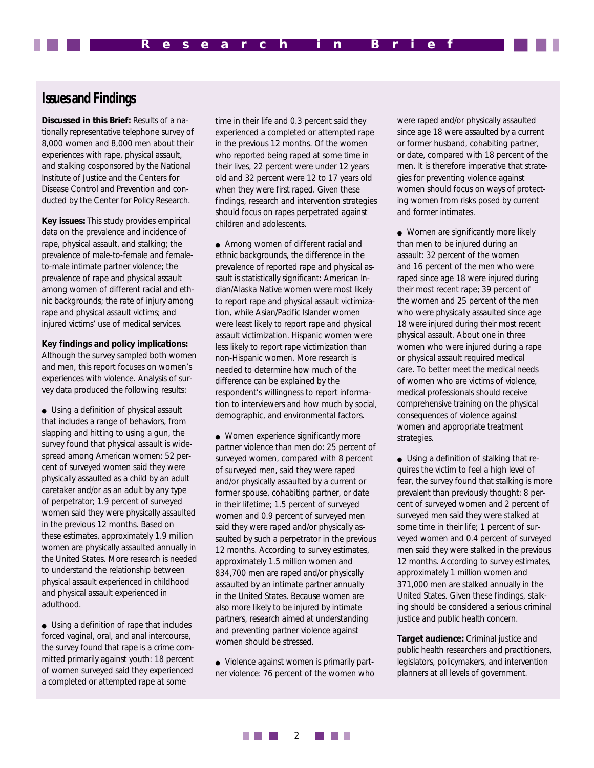# **Issues and Findings**

*Discussed in this Brief:* Results of a nationally representative telephone survey of 8,000 women and 8,000 men about their experiences with rape, physical assault, and stalking cosponsored by the National Institute of Justice and the Centers for Disease Control and Prevention and conducted by the Center for Policy Research.

*Key issues:* This study provides empirical data on the prevalence and incidence of rape, physical assault, and stalking; the prevalence of male-to-female and femaleto-male intimate partner violence; the prevalence of rape and physical assault among women of different racial and ethnic backgrounds; the rate of injury among rape and physical assault victims; and injured victims' use of medical services.

#### *Key findings and policy implications:*

Although the survey sampled both women and men, this report focuses on women's experiences with violence. Analysis of survey data produced the following results:

● Using a definition of physical assault that includes a range of behaviors, from slapping and hitting to using a gun, the survey found that physical assault is widespread among American women: 52 percent of surveyed women said they were physically assaulted as a child by an adult caretaker and/or as an adult by any type of perpetrator; 1.9 percent of surveyed women said they were physically assaulted in the previous 12 months. Based on these estimates, approximately 1.9 million women are physically assaulted annually in the United States. More research is needed to understand the relationship between physical assault experienced in childhood and physical assault experienced in adulthood.

● Using a definition of rape that includes forced vaginal, oral, and anal intercourse, the survey found that rape is a crime committed primarily against youth: 18 percent of women surveyed said they experienced a completed or attempted rape at some

time in their life and 0.3 percent said they experienced a completed or attempted rape in the previous 12 months. Of the women who reported being raped at some time in their lives, 22 percent were under 12 years old and 32 percent were 12 to 17 years old when they were first raped. Given these findings, research and intervention strategies should focus on rapes perpetrated against children and adolescents.

● Among women of different racial and ethnic backgrounds, the difference in the prevalence of reported rape and physical assault is statistically significant: American Indian/Alaska Native women were most likely to report rape and physical assault victimization, while Asian/Pacific Islander women were least likely to report rape and physical assault victimization. Hispanic women were less likely to report rape victimization than non-Hispanic women. More research is needed to determine how much of the difference can be explained by the respondent's willingness to report information to interviewers and how much by social, demographic, and environmental factors.

● Women experience significantly more partner violence than men do: 25 percent of surveyed women, compared with 8 percent of surveyed men, said they were raped and/or physically assaulted by a current or former spouse, cohabiting partner, or date in their lifetime; 1.5 percent of surveyed women and 0.9 percent of surveyed men said they were raped and/or physically assaulted by such a perpetrator in the previous 12 months. According to survey estimates, approximately 1.5 million women and 834,700 men are raped and/or physically assaulted by an intimate partner annually in the United States. Because women are also more likely to be injured by intimate partners, research aimed at understanding and preventing partner violence against women should be stressed.

● Violence against women is primarily partner violence: 76 percent of the women who were raped and/or physically assaulted since age 18 were assaulted by a current or former husband, cohabiting partner, or date, compared with 18 percent of the men. It is therefore imperative that strategies for preventing violence against women should focus on ways of protecting women from risks posed by current and former intimates.

● Women are significantly more likely than men to be injured during an assault: 32 percent of the women and 16 percent of the men who were raped since age 18 were injured during their most recent rape; 39 percent of the women and 25 percent of the men who were physically assaulted since age 18 were injured during their most recent physical assault. About one in three women who were injured during a rape or physical assault required medical care. To better meet the medical needs of women who are victims of violence, medical professionals should receive comprehensive training on the physical consequences of violence against women and appropriate treatment strategies.

● Using a definition of stalking that requires the victim to feel a high level of fear, the survey found that stalking is more prevalent than previously thought: 8 percent of surveyed women and 2 percent of surveyed men said they were stalked at some time in their life; 1 percent of surveyed women and 0.4 percent of surveyed men said they were stalked in the previous 12 months. According to survey estimates, approximately 1 million women and 371,000 men are stalked annually in the United States. Given these findings, stalking should be considered a serious criminal justice and public health concern.

*Target audience:* Criminal justice and public health researchers and practitioners, legislators, policymakers, and intervention planners at all levels of government.

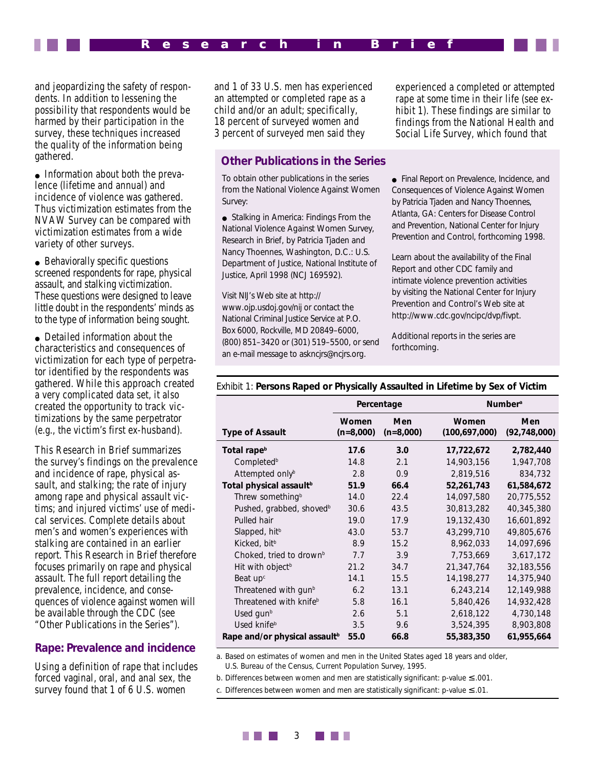and jeopardizing the safety of respondents. In addition to lessening the possibility that respondents would be harmed by their participation in the survey, these techniques increased the quality of the information being gathered.

• Information about both the prevalence (lifetime and annual) and incidence of violence was gathered. Thus victimization estimates from the NVAW Survey can be compared with victimization estimates from a wide variety of other surveys.

• Behaviorally specific questions screened respondents for rape, physical assault, and stalking victimization. These questions were designed to leave little doubt in the respondents' minds as to the type of information being sought.

• Detailed information about the characteristics and consequences of victimization for each type of perpetrator identified by the respondents was gathered. While this approach created a very complicated data set, it also created the opportunity to track victimizations by the same perpetrator (e.g., the victim's first ex-husband).

This Research in Brief summarizes the survey's findings on the prevalence and incidence of rape, physical assault, and stalking; the rate of injury among rape and physical assault victims; and injured victims' use of medical services. Complete details about men's and women's experiences with stalking are contained in an earlier report. This Research in Brief therefore focuses primarily on rape and physical assault. The full report detailing the prevalence, incidence, and consequences of violence against women will be available through the CDC (see "Other Publications in the Series").

#### **Rape: Prevalence and incidence**

Using a definition of rape that includes forced vaginal, oral, and anal sex, the survey found that 1 of 6 U.S. women

and 1 of 33 U.S. men has experienced an attempted or completed rape as a child and/or an adult; specifically, 18 percent of surveyed women and 3 percent of surveyed men said they

#### **Other Publications in the Series**

To obtain other publications in the series from the National Violence Against Women Survey:

● *Stalking in America: Findings From the National Violence Against Women Survey,* Research in Brief, by Patricia Tjaden and Nancy Thoennes, Washington, D.C.: U.S. Department of Justice, National Institute of Justice, April 1998 (NCJ 169592).

Visit NIJ's Web site at http:// www.ojp.usdoj.gov/nij or contact the National Criminal Justice Service at P.O. Box 6000, Rockville, MD 20849–6000, (800) 851–3420 or (301) 519–5500, or send an e-mail message to askncjrs@ncjrs.org.

experienced a completed or attempted rape at some time in their life (see exhibit 1). These findings are similar to findings from the National Health and Social Life Survey, which found that

● *Final Report on Prevalence, Incidence, and Consequences of Violence Against Women* by Patricia Tjaden and Nancy Thoennes, Atlanta, GA: Centers for Disease Control and Prevention, National Center for Injury Prevention and Control, forthcoming 1998.

Learn about the availability of the *Final Report* and other CDC family and intimate violence prevention activities by visiting the National Center for Injury Prevention and Control's Web site at http://www.cdc.gov/ncipc/dvp/fivpt.

Additional reports in the series are forthcoming.

#### *Exhibit 1: Persons Raped or Physically Assaulted in Lifetime by Sex of Victim*

|                                           | Percentage           |                    |                          | Number <sup>a</sup>   |
|-------------------------------------------|----------------------|--------------------|--------------------------|-----------------------|
| <b>Type of Assault</b>                    | Women<br>$(n=8,000)$ | Men<br>$(n=8,000)$ | Women<br>(100, 697, 000) | Men<br>(92, 748, 000) |
| Total rape <sup>b</sup>                   | 17.6                 | 3.0                | 17,722,672               | 2,782,440             |
| Completed <sup>b</sup>                    | 14.8                 | 2.1                | 14,903,156               | 1,947,708             |
| Attempted onlyb                           | 2.8                  | 0.9                | 2,819,516                | 834,732               |
| Total physical assault <sup>b</sup>       | 51.9                 | 66.4               | 52,261,743               | 61,584,672            |
| Threw something <sup>b</sup>              | 14.0                 | 22.4               | 14,097,580               | 20,775,552            |
| Pushed, grabbed, shoved <sup>b</sup>      | 30.6                 | 43.5               | 30,813,282               | 40,345,380            |
| Pulled hair                               | 19.0                 | 17.9               | 19,132,430               | 16,601,892            |
| Slapped, hit <sup>b</sup>                 | 43.0                 | 53.7               | 43,299,710               | 49,805,676            |
| Kicked, bit <sup>b</sup>                  | 8.9                  | 15.2               | 8,962,033                | 14,097,696            |
| Choked, tried to drown <sup>b</sup>       | 7.7                  | 3.9                | 7,753,669                | 3,617,172             |
| Hit with object <sup>b</sup>              | 21.2                 | 34.7               | 21,347,764               | 32,183,556            |
| Beat $upc$                                | 14.1                 | 15.5               | 14,198,277               | 14,375,940            |
| Threatened with gun <sup>b</sup>          | 6.2                  | 13.1               | 6,243,214                | 12,149,988            |
| Threatened with knife <sup>b</sup>        | 5.8                  | 16.1               | 5,840,426                | 14,932,428            |
| Used gun $b$                              | 2.6                  | 5.1                | 2,618,122                | 4,730,148             |
| Used knife <sup>b</sup>                   | 3.5                  | 9.6                | 3,524,395                | 8,903,808             |
| Rape and/or physical assault <sup>b</sup> | 55.0                 | 66.8               | 55,383,350               | 61,955,664            |

a. Based on estimates of women and men in the United States aged 18 years and older, U.S. Bureau of the Census, Current Population Survey, 1995.

b. Differences between women and men are statistically significant: p-value ≤ .001.

c. Differences between women and men are statistically significant: p-value ≤ .01.

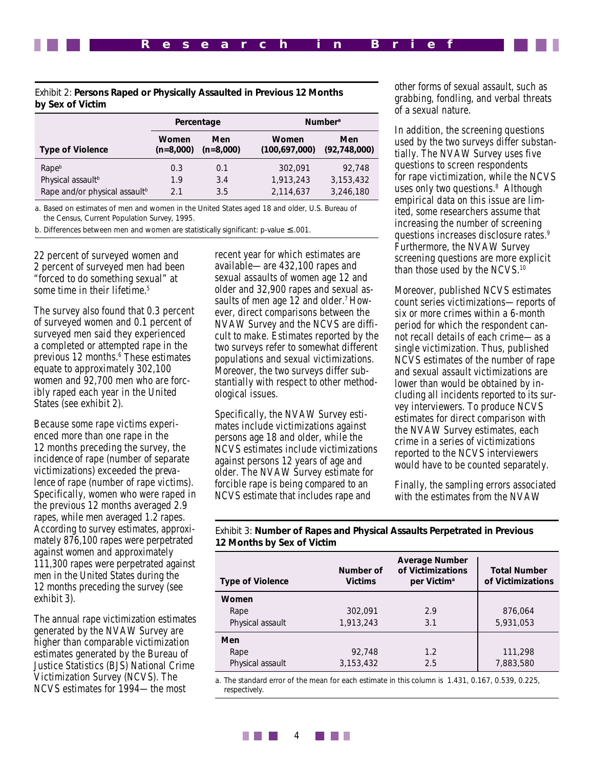#### *Exhibit 2: Persons Raped or Physically Assaulted in Previous 12 Months by Sex of Victim*

|                                           | Percentage           |                    |                        | Number <sup>a</sup>   |  |  |
|-------------------------------------------|----------------------|--------------------|------------------------|-----------------------|--|--|
| <b>Type of Violence</b>                   | Women<br>$(n=8,000)$ | Men<br>$(n=8,000)$ | Women<br>(100,697,000) | Men<br>(92, 748, 000) |  |  |
| $Rape^b$                                  | 0.3                  | 0.1                | 302,091                | 92.748                |  |  |
| Physical assault <sup>b</sup>             | 1.9                  | 3.4                | 1,913,243              | 3,153,432             |  |  |
| Rape and/or physical assault <sup>b</sup> | 2.1                  | 3.5                | 2,114,637              | 3,246,180             |  |  |

a. Based on estimates of men and women in the United States aged 18 and older, U.S. Bureau of the Census, Current Population Survey, 1995.

b. Differences between men and women are statistically significant: p-value ≤ .001.

22 percent of surveyed women and 2 percent of surveyed men had been "forced to do something sexual" at some time in their lifetime.<sup>5</sup>

The survey also found that 0.3 percent of surveyed women and 0.1 percent of surveyed men said they experienced a completed or attempted rape in the previous 12 months.<sup>6</sup> These estimates equate to approximately 302,100 women and 92,700 men who are forcibly raped each year in the United States (see exhibit 2).

Because some rape victims experienced more than one rape in the 12 months preceding the survey, the *incidence* of rape (number of separate victimizations) exceeded the *prevalence* of rape (number of rape victims). Specifically, women who were raped in the previous 12 months averaged 2.9 rapes, while men averaged 1.2 rapes. According to survey estimates, approximately 876,100 rapes were perpetrated against women and approximately 111,300 rapes were perpetrated against men in the United States during the 12 months preceding the survey (see exhibit 3).

The annual rape victimization estimates generated by the NVAW Survey are higher than comparable victimization estimates generated by the Bureau of Justice Statistics (BJS) National Crime Victimization Survey (NCVS). The NCVS estimates for 1994—the most

recent year for which estimates are available—are 432,100 rapes and sexual assaults of women age 12 and older and 32,900 rapes and sexual assaults of men age 12 and older.<sup>7</sup> However, direct comparisons between the NVAW Survey and the NCVS are difficult to make. Estimates reported by the two surveys refer to somewhat different populations and sexual victimizations. Moreover, the two surveys differ substantially with respect to other methodological issues.

Specifically, the NVAW Survey estimates include victimizations against persons age 18 and older, while the NCVS estimates include victimizations against persons 12 years of age and older. The NVAW Survey estimate for forcible rape is being compared to an NCVS estimate that includes rape and

other forms of sexual assault, such as grabbing, fondling, and verbal threats of a sexual nature.

In addition, the screening questions used by the two surveys differ substantially. The NVAW Survey uses five questions to screen respondents for rape victimization, while the NCVS uses only two questions.<sup>8</sup> Although empirical data on this issue are limited, some researchers assume that increasing the number of screening questions increases disclosure rates.9 Furthermore, the NVAW Survey screening questions are more explicit than those used by the NCVS.10

Moreover, published NCVS estimates count series victimizations—reports of six or more crimes within a 6-month period for which the respondent cannot recall details of each crime—as a single victimization. Thus, published NCVS estimates of the number of rape and sexual assault victimizations are lower than would be obtained by including all incidents reported to its survey interviewers. To produce NCVS estimates for direct comparison with the NVAW Survey estimates, each crime in a series of victimizations reported to the NCVS interviewers would have to be counted separately.

Finally, the sampling errors associated with the estimates from the NVAW

*Exhibit 3: Number of Rapes and Physical Assaults Perpetrated in Previous 12 Months by Sex of Victim*

| <b>Type of Violence</b> | Number of<br><b>Victims</b> | <b>Average Number</b><br>of Victimizations<br>per Victim <sup>a</sup> | <b>Total Number</b><br>of Victimizations |
|-------------------------|-----------------------------|-----------------------------------------------------------------------|------------------------------------------|
| Women                   |                             |                                                                       |                                          |
| Rape                    | 302.091                     | 2.9                                                                   | 876,064                                  |
| Physical assault        | 1.913.243                   | 3.1                                                                   | 5,931,053                                |
| Men                     |                             |                                                                       |                                          |
| Rape                    | 92.748                      | 1.2                                                                   | 111,298                                  |
| Physical assault        | 3,153,432                   | 2.5                                                                   | 7,883,580                                |

a. The standard error of the mean for each estimate in this column is 1.431, 0.167, 0.539, 0.225, respectively.

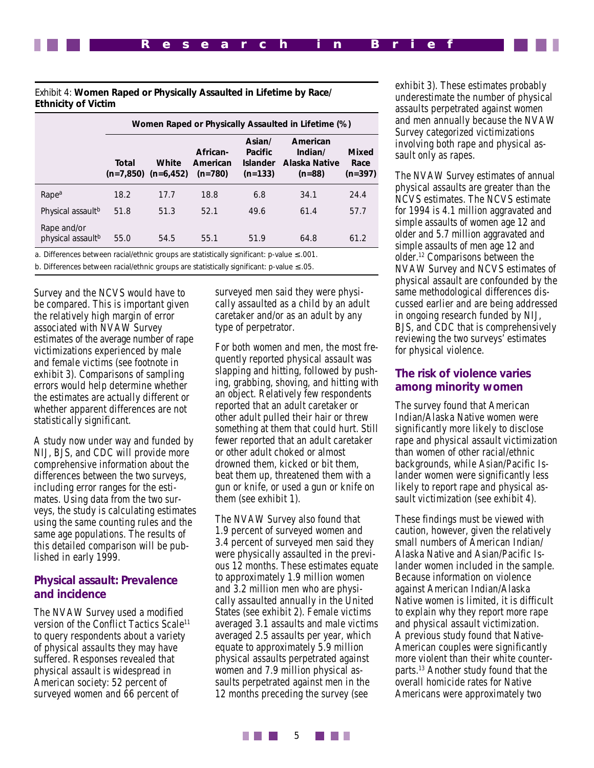#### *Exhibit 4: Women Raped or Physically Assaulted in Lifetime by Race/ Ethnicity of Victim*

|                                                                                                    | Women Raped or Physically Assaulted in Lifetime (%) |                                  |                                   |                                                   |                                                  |                                   |
|----------------------------------------------------------------------------------------------------|-----------------------------------------------------|----------------------------------|-----------------------------------|---------------------------------------------------|--------------------------------------------------|-----------------------------------|
|                                                                                                    | Total                                               | White<br>$(n=7.850)$ $(n=6.452)$ | African-<br>American<br>$(n=780)$ | Asian/<br>Pacific<br><b>Islander</b><br>$(n=133)$ | American<br>Indian/<br>Alaska Native<br>$(n=88)$ | <b>Mixed</b><br>Race<br>$(n=397)$ |
| Rape <sup>a</sup>                                                                                  | 18.2                                                | 17.7                             | 18.8                              | 6.8                                               | 34.1                                             | 24.4                              |
| Physical assault <sup>b</sup>                                                                      | 51.8                                                | 51.3                             | 52.1                              | 49.6                                              | 61.4                                             | 57.7                              |
| Rape and/or<br>physical assault <sup>b</sup>                                                       | 55.0                                                | 54.5                             | 55.1                              | 51.9                                              | 64.8                                             | 61.2                              |
| a. Differences between racial/ethnic groups are statistically significant: $p$ -value $\leq$ 0.01. |                                                     |                                  |                                   |                                                   |                                                  |                                   |

b. Differences between racial/ethnic groups are statistically significant: p-value ≤ .05.

Survey and the NCVS would have to be compared. This is important given the relatively high margin of error associated with NVAW Survey estimates of the average number of rape victimizations experienced by male and female victims (see footnote in exhibit 3). Comparisons of sampling errors would help determine whether the estimates are actually different or whether apparent differences are not statistically significant.

A study now under way and funded by NIJ, BJS, and CDC will provide more comprehensive information about the differences between the two surveys, including error ranges for the estimates. Using data from the two surveys, the study is calculating estimates using the same counting rules and the same age populations. The results of this detailed comparison will be published in early 1999.

#### **Physical assault: Prevalence and incidence**

The NVAW Survey used a modified version of the Conflict Tactics Scale<sup>11</sup> to query respondents about a variety of physical assaults they may have suffered. Responses revealed that physical assault is widespread in American society: 52 percent of surveyed women and 66 percent of

surveyed men said they were physically assaulted as a child by an adult caretaker and/or as an adult by any type of perpetrator.

For both women and men, the most frequently reported physical assault was slapping and hitting, followed by pushing, grabbing, shoving, and hitting with an object. Relatively few respondents reported that an adult caretaker or other adult pulled their hair or threw something at them that could hurt. Still fewer reported that an adult caretaker or other adult choked or almost drowned them, kicked or bit them, beat them up, threatened them with a gun or knife, or used a gun or knife on them (see exhibit 1).

The NVAW Survey also found that 1.9 percent of surveyed women and 3.4 percent of surveyed men said they were physically assaulted in the previous 12 months. These estimates equate to approximately 1.9 million women and 3.2 million men who are physically assaulted annually in the United States (see exhibit 2). Female victims averaged 3.1 assaults and male victims averaged 2.5 assaults per year, which equate to approximately 5.9 million physical assaults perpetrated against women and 7.9 million physical assaults perpetrated against men in the 12 months preceding the survey (see

exhibit 3). These estimates probably underestimate the number of physical assaults perpetrated against women and men annually because the NVAW Survey categorized victimizations involving both rape and physical assault only as rapes.

The NVAW Survey estimates of annual physical assaults are greater than the NCVS estimates. The NCVS estimate for 1994 is 4.1 million aggravated and simple assaults of women age 12 and older and 5.7 million aggravated and simple assaults of men age 12 and older.12 Comparisons between the NVAW Survey and NCVS estimates of physical assault are confounded by the same methodological differences discussed earlier and are being addressed in ongoing research funded by NIJ, BJS, and CDC that is comprehensively reviewing the two surveys' estimates for physical violence.

### **The risk of violence varies among minority women**

The survey found that American Indian/Alaska Native women were significantly more likely to disclose rape and physical assault victimization than women of other racial/ethnic backgrounds, while Asian/Pacific Islander women were significantly less likely to report rape and physical assault victimization (see exhibit 4).

These findings must be viewed with caution, however, given the relatively small numbers of American Indian/ Alaska Native and Asian/Pacific Islander women included in the sample. Because information on violence against American Indian/Alaska Native women is limited, it is difficult to explain why they report more rape and physical assault victimization. A previous study found that Native-American couples were significantly more violent than their white counterparts.13 Another study found that the overall homicide rates for Native Americans were approximately two

5 . . . . . . .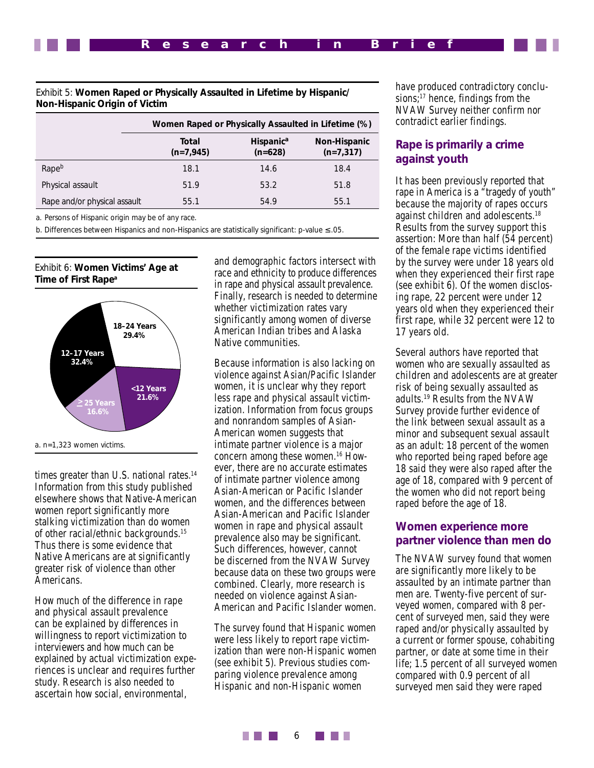#### *Exhibit 5: Women Raped or Physically Assaulted in Lifetime by Hispanic/ Non-Hispanic Origin of Victim*

|                              | Women Raped or Physically Assaulted in Lifetime (%) |                                    |                              |  |  |
|------------------------------|-----------------------------------------------------|------------------------------------|------------------------------|--|--|
|                              | Total<br>$(n=7,945)$                                | Hispanic <sup>a</sup><br>$(n=628)$ | Non-Hispanic<br>$(n=7, 317)$ |  |  |
| $Rape^b$                     | 18.1                                                | 14.6                               | 18.4                         |  |  |
| Physical assault             | 51.9                                                | 53.2                               | 51.8                         |  |  |
| Rape and/or physical assault | 55.1                                                | 54.9                               | 55.1                         |  |  |

a. Persons of Hispanic origin may be of any race.

b. Differences between Hispanics and non-Hispanics are statistically significant: p-value ≤ .05.





a. n=1,323 women victims.

times greater than U.S. national rates. $14$ Information from this study published elsewhere shows that Native-American women report significantly more stalking victimization than do women of other racial/ethnic backgrounds.15 Thus there is some evidence that Native Americans are at significantly greater risk of violence than other Americans.

How much of the difference in rape and physical assault prevalence can be explained by differences in willingness to report victimization to interviewers and how much can be explained by actual victimization experiences is unclear and requires further study. Research is also needed to ascertain how social, environmental,

and demographic factors intersect with race and ethnicity to produce differences in rape and physical assault prevalence. Finally, research is needed to determine whether victimization rates vary significantly among women of diverse American Indian tribes and Alaska Native communities.

Because information is also lacking on violence against Asian/Pacific Islander women, it is unclear why they report less rape and physical assault victimization. Information from focus groups and nonrandom samples of Asian-American women suggests that intimate partner violence is a major concern among these women.16 However, there are no accurate estimates of intimate partner violence among Asian-American or Pacific Islander women, and the differences between Asian-American and Pacific Islander women in rape and physical assault prevalence also may be significant. Such differences, however, cannot be discerned from the NVAW Survey because data on these two groups were combined. Clearly, more research is needed on violence against Asian-American and Pacific Islander women.

The survey found that Hispanic women were less likely to report rape victimization than were non-Hispanic women (see exhibit 5). Previous studies comparing violence prevalence among Hispanic and non-Hispanic women

have produced contradictory conclusions; $^{17}$  hence, findings from the NVAW Survey neither confirm nor contradict earlier findings.

## **Rape is primarily a crime against youth**

It has been previously reported that rape in America is a "tragedy of youth" because the majority of rapes occurs against children and adolescents.18 Results from the survey support this assertion: More than half (54 percent) of the female rape victims identified by the survey were under 18 years old when they experienced their first rape (see exhibit 6). Of the women disclosing rape, 22 percent were under 12 years old when they experienced their first rape, while 32 percent were 12 to 17 years old.

Several authors have reported that women who are sexually assaulted as children and adolescents are at greater risk of being sexually assaulted as adults.19 Results from the NVAW Survey provide further evidence of the link between sexual assault as a minor and subsequent sexual assault as an adult: 18 percent of the women who reported being raped before age 18 said they were also raped after the age of 18, compared with 9 percent of the women who did not report being raped before the age of 18.

#### **Women experience more partner violence than men do**

The NVAW survey found that women are significantly more likely to be assaulted by an intimate partner than men are. Twenty-five percent of surveyed women, compared with 8 percent of surveyed men, said they were raped and/or physically assaulted by a current or former spouse, cohabiting partner, or date at some time in their life; 1.5 percent of all surveyed women compared with 0.9 percent of all surveyed men said they were raped

a di Kabupatén Band an sa sala 6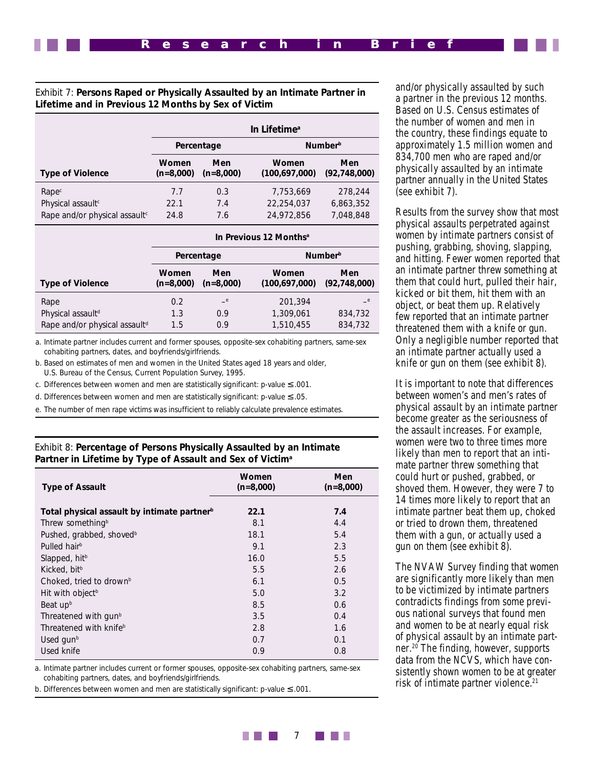#### *Exhibit 7: Persons Raped or Physically Assaulted by an Intimate Partner in Lifetime and in Previous 12 Months by Sex of Victim*

|                                           | In Lifetime <sup>a</sup> |             |                 |                |  |
|-------------------------------------------|--------------------------|-------------|-----------------|----------------|--|
|                                           | Number $b$<br>Percentage |             |                 |                |  |
| <b>Type of Violence</b>                   | Women                    | Men         | Women           | Men            |  |
|                                           | $(n=8,000)$              | $(n=8,000)$ | (100, 697, 000) | (92, 748, 000) |  |
| Rape <sup>c</sup>                         | 7.7                      | 0.3         | 7,753,669       | 278,244        |  |
| Physical assault <sup>c</sup>             | 22.1                     | 7.4         | 22.254.037      | 6,863,352      |  |
| Rape and/or physical assault <sup>c</sup> | 24.8                     | 7.6         | 24.972.856      | 7,048,848      |  |

|                                           | In Previous 12 Months <sup>a</sup> |                    |                          |                       |  |
|-------------------------------------------|------------------------------------|--------------------|--------------------------|-----------------------|--|
|                                           |                                    | Percentage         |                          | Number $b$            |  |
| <b>Type of Violence</b>                   | Women<br>$(n=8,000)$               | Men<br>$(n=8.000)$ | Women<br>(100, 697, 000) | Men<br>(92, 748, 000) |  |
| Rape                                      | 0.2                                | $-$ e              | 201,394                  | e                     |  |
| Physical assault <sup>d</sup>             | 1.3                                | 0.9                | 1,309,061                | 834,732               |  |
| Rape and/or physical assault <sup>d</sup> | 1.5                                | 0.9                | 1,510,455                | 834,732               |  |

a. Intimate partner includes current and former spouses, opposite-sex cohabiting partners, same-sex cohabiting partners, dates, and boyfriends/girlfriends.

b. Based on estimates of men and women in the United States aged 18 years and older, U.S. Bureau of the Census, Current Population Survey, 1995.

c. Differences between women and men are statistically significant: p-value ≤ .001.

d. Differences between women and men are statistically significant: p-value ≤ .05.

e. The number of men rape victims was insufficient to reliably calculate prevalence estimates.

#### *Exhibit 8: Percentage of Persons Physically Assaulted by an Intimate Partner in Lifetime by Type of Assault and Sex of Victima*

| <b>Type of Assault</b>                                  | Women<br>$(n=8,000)$ | Men<br>$(n=8,000)$ |
|---------------------------------------------------------|----------------------|--------------------|
| Total physical assault by intimate partner <sup>b</sup> | 22.1                 | 7.4                |
| Threw something <sup>b</sup>                            | 8.1                  | 4.4                |
| Pushed, grabbed, shoved <sup>b</sup>                    | 18.1                 | 5.4                |
| Pulled hair <sup>b</sup>                                | 9.1                  | 2.3                |
| Slapped, hit <sup>b</sup>                               | 16.0                 | 5.5                |
| Kicked, bit <sup>b</sup>                                | 5.5                  | 2.6                |
| Choked, tried to drown <sup>b</sup>                     | 6.1                  | 0.5                |
| Hit with object <sup>b</sup>                            | 5.0                  | 3.2                |
| Beat $up^b$                                             | 8.5                  | 0.6                |
| Threatened with gun <sup>b</sup>                        | 3.5                  | 0.4                |
| Threatened with knife <sup>b</sup>                      | 2.8                  | 1.6                |
| Used gun <sup>b</sup>                                   | 0.7                  | 0.1                |
| Used knife                                              | 0.9                  | 0.8                |

a. Intimate partner includes current or former spouses, opposite-sex cohabiting partners, same-sex cohabiting partners, dates, and boyfriends/girlfriends.

b. Differences between women and men are statistically significant: p-value ≤ .001.

and/or physically assaulted by such a partner in the previous 12 months. Based on U.S. Census estimates of the number of women and men in the country, these findings equate to approximately 1.5 million women and 834,700 men who are raped and/or physically assaulted by an intimate partner annually in the United States (see exhibit 7).

Results from the survey show that most physical assaults perpetrated against women by intimate partners consist of pushing, grabbing, shoving, slapping, and hitting. Fewer women reported that an intimate partner threw something at them that could hurt, pulled their hair, kicked or bit them, hit them with an object, or beat them up. Relatively few reported that an intimate partner threatened them with a knife or gun. Only a negligible number reported that an intimate partner actually used a knife or gun on them (see exhibit 8).

It is important to note that differences between women's and men's rates of physical assault by an intimate partner become greater as the seriousness of the assault increases. For example, women were two to three times more likely than men to report that an intimate partner threw something that could hurt or pushed, grabbed, or shoved them. However, they were 7 to 14 times more likely to report that an intimate partner beat them up, choked or tried to drown them, threatened them with a gun, or actually used a gun on them (see exhibit 8).

The NVAW Survey finding that women are significantly more likely than men to be victimized by intimate partners contradicts findings from some previous national surveys that found men and women to be at nearly equal risk of physical assault by an intimate partner.20 The finding, however, supports data from the NCVS, which have consistently shown women to be at greater risk of intimate partner violence.<sup>21</sup>

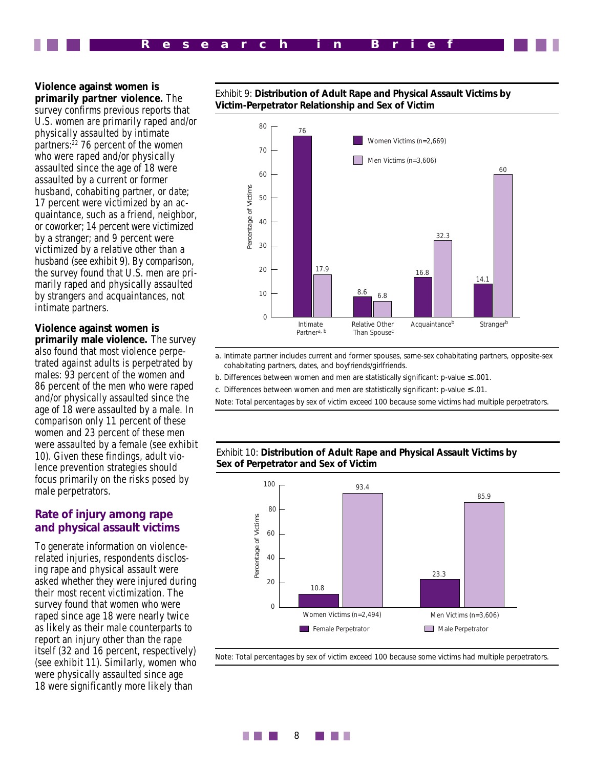

# **Violence against women is**

**primarily partner violence.** The survey confirms previous reports that U.S. women are primarily raped and/or physically assaulted by intimate partners: $^{22}$  76 percent of the women who were raped and/or physically assaulted since the age of 18 were assaulted by a current or former husband, cohabiting partner, or date; 17 percent were victimized by an acquaintance, such as a friend, neighbor, or coworker; 14 percent were victimized by a stranger; and 9 percent were victimized by a relative other than a husband (see exhibit 9). By comparison, the survey found that U.S. men are primarily raped and physically assaulted by strangers and acquaintances, not intimate partners.

**Violence against women is primarily male violence.** The survey also found that most violence perpetrated against adults is perpetrated by males: 93 percent of the women and 86 percent of the men who were raped and/or physically assaulted since the age of 18 were assaulted by a male. In comparison only 11 percent of these women and 23 percent of these men were assaulted by a female (see exhibit 10). Given these findings, adult violence prevention strategies should focus primarily on the risks posed by male perpetrators.

### **Rate of injury among rape and physical assault victims**

To generate information on violencerelated injuries, respondents disclosing rape and physical assault were asked whether they were injured during their most recent victimization. The survey found that women who were raped since age 18 were nearly twice as likely as their male counterparts to report an injury other than the rape itself (32 and 16 percent, respectively) (see exhibit 11). Similarly, women who were physically assaulted since age 18 were significantly more likely than



a. Intimate partner includes current and former spouses, same-sex cohabitating partners, opposite-sex cohabitating partners, dates, and boyfriends/girlfriends.

- b. Differences between women and men are statistically significant: p-value ≤ .001.
- c. Differences between women and men are statistically significant: p-value ≤ .01.

Note: Total percentages by sex of victim exceed 100 because some victims had multiple perpetrators.

#### *Exhibit 10: Distribution of Adult Rape and Physical Assault Victims by Sex of Perpetrator and Sex of Victim*



Note: Total percentages by sex of victim exceed 100 because some victims had multiple perpetrators.

8

. . .

n n

**College** 

#### *Exhibit 9: Distribution of Adult Rape and Physical Assault Victims by Victim-Perpetrator Relationship and Sex of Victim*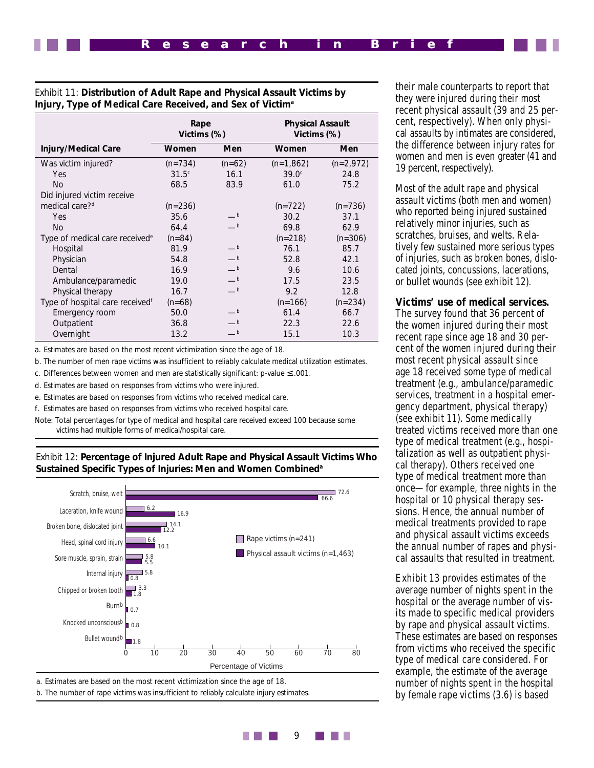| Exhibit 11: Distribution of Adult Rape and Physical Assault Victims by |  |
|------------------------------------------------------------------------|--|
| Injury, Type of Medical Care Received, and Sex of Victim <sup>a</sup>  |  |

|                                             | Rape<br>Victims (%) |          | <b>Physical Assault</b><br>Victims (%) |             |
|---------------------------------------------|---------------------|----------|----------------------------------------|-------------|
| Injury/Medical Care                         | Women               | Men      | Women                                  | Men         |
| Was victim injured?                         | $(n=734)$           | $(n=62)$ | $(n=1,862)$                            | $(n=2,972)$ |
| <b>Yes</b>                                  | 31.5 <sup>c</sup>   | 16.1     | 39.0 <sup>c</sup>                      | 24.8        |
| No                                          | 68.5                | 83.9     | 61.0                                   | 75.2        |
| Did injured victim receive                  |                     |          |                                        |             |
| medical care? <sup>d</sup>                  | $(n=236)$           |          | $(n=722)$                              | $(n=736)$   |
| Yes                                         | 35.6                | $-^b$    | 30.2                                   | 37.1        |
| <b>No</b>                                   | 64.4                | $-b$     | 69.8                                   | 62.9        |
| Type of medical care received <sup>e</sup>  | $(n=84)$            |          | $(n=218)$                              | $(n=306)$   |
| Hospital                                    | 81.9                | $-{}^b$  | 76.1                                   | 85.7        |
| Physician                                   | 54.8                | b        | 52.8                                   | 42.1        |
| Dental                                      | 16.9                | $-{}^b$  | 9.6                                    | 10.6        |
| Ambulance/paramedic                         | 19.0                | b        | 17.5                                   | 23.5        |
| Physical therapy                            | 16.7                | b        | 9.2                                    | 12.8        |
| Type of hospital care received <sup>f</sup> | $(n=68)$            |          | $(n=166)$                              | $(n=234)$   |
| Emergency room                              | 50.0                | $-{}^b$  | 61.4                                   | 66.7        |
| Outpatient                                  | 36.8                |          | 22.3                                   | 22.6        |
| Overnight                                   | 13.2                | $-{}^b$  | 15.1                                   | 10.3        |

a. Estimates are based on the most recent victimization since the age of 18.

b. The number of men rape victims was insufficient to reliably calculate medical utilization estimates.

c. Differences between women and men are statistically significant: p-value ≤ .001.

d. Estimates are based on responses from victims who were injured.

e. Estimates are based on responses from victims who received medical care.

f. Estimates are based on responses from victims who received hospital care.

Note: Total percentages for type of medical and hospital care received exceed 100 because some victims had multiple forms of medical/hospital care.





a. Estimates are based on the most recent victimization since the age of 18.

b. The number of rape victims was insufficient to reliably calculate injury estimates.

their male counterparts to report that they were injured during their most recent physical assault (39 and 25 percent, respectively). When only physical assaults by intimates are considered, the difference between injury rates for women and men is even greater (41 and 19 percent, respectively).

Most of the adult rape and physical assault victims (both men and women) who reported being injured sustained relatively minor injuries, such as scratches, bruises, and welts. Relatively few sustained more serious types of injuries, such as broken bones, dislocated joints, concussions, lacerations, or bullet wounds (see exhibit 12).

#### **Victims' use of medical services.**

The survey found that 36 percent of the women injured during their most recent rape since age 18 and 30 percent of the women injured during their most recent physical assault since age 18 received some type of medical treatment (e.g., ambulance/paramedic services, treatment in a hospital emergency department, physical therapy) (see exhibit 11). Some medically treated victims received more than one type of medical treatment (e.g., hospitalization as well as outpatient physical therapy). Others received one type of medical treatment more than once—for example, three nights in the hospital or 10 physical therapy sessions. Hence, the annual number of medical treatments provided to rape and physical assault victims exceeds the annual number of rapes and physical assaults that resulted in treatment.

Exhibit 13 provides estimates of the average number of nights spent in the hospital or the average number of visits made to specific medical providers by rape and physical assault victims. These estimates are based on responses from victims who received the specific type of medical care considered. For example, the estimate of the average number of nights spent in the hospital by female rape victims (3.6) is based

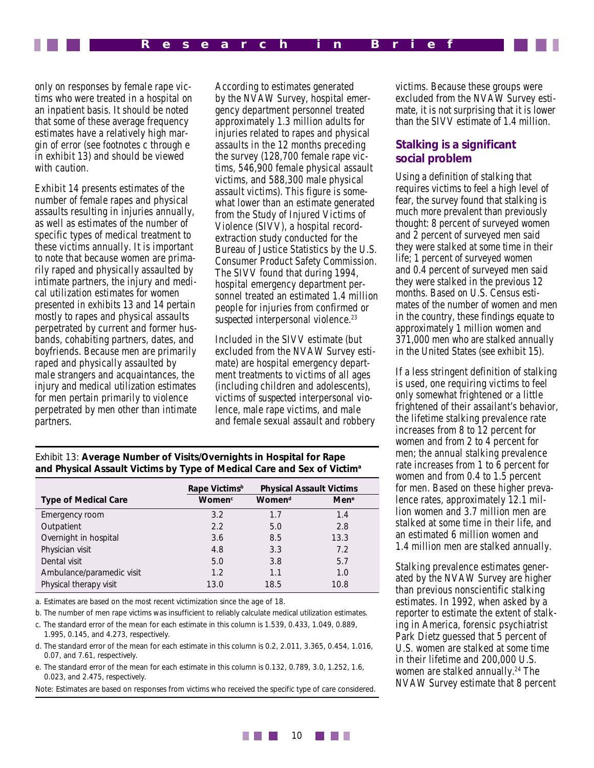only on responses by female rape victims who were treated in a hospital on an inpatient basis. It should be noted that some of these average frequency estimates have a relatively high margin of error (see footnotes c through e in exhibit 13) and should be viewed with caution.

Exhibit 14 presents estimates of the number of female rapes and physical assaults resulting in injuries annually, as well as estimates of the number of specific types of medical treatment to these victims annually. It is important to note that because women are primarily raped and physically assaulted by intimate partners, the injury and medical utilization estimates for women presented in exhibits 13 and 14 pertain mostly to rapes and physical assaults perpetrated by current and former husbands, cohabiting partners, dates, and boyfriends. Because men are primarily raped and physically assaulted by male strangers and acquaintances, the injury and medical utilization estimates for men pertain primarily to violence perpetrated by men other than intimate partners.

According to estimates generated by the NVAW Survey, hospital emergency department personnel treated approximately 1.3 million adults for injuries related to rapes and physical assaults in the 12 months preceding the survey (128,700 female rape victims, 546,900 female physical assault victims, and 588,300 male physical assault victims). This figure is somewhat lower than an estimate generated from the Study of Injured Victims of Violence (SIVV), a hospital recordextraction study conducted for the Bureau of Justice Statistics by the U.S. Consumer Product Safety Commission. The SIVV found that during 1994, hospital emergency department personnel treated an estimated 1.4 million people for injuries from confirmed or *suspected* interpersonal violence.<sup>23</sup>

Included in the SIVV estimate (but excluded from the NVAW Survey estimate) are hospital emergency department treatments to victims of all ages (including children and adolescents), victims of *suspected* interpersonal violence, male rape victims, and male and female sexual assault and robbery

*Exhibit 13: Average Number of Visits/Overnights in Hospital for Rape and Physical Assault Victims by Type of Medical Care and Sex of Victima*

|                             | Rape Victims <sup>b</sup> |                    | <b>Physical Assault Victims</b> |
|-----------------------------|---------------------------|--------------------|---------------------------------|
| <b>Type of Medical Care</b> | Women $c$                 | Women <sup>d</sup> | $\mathsf{Men}^e$                |
| Emergency room              | 3.2                       | 1.7                | 1.4                             |
| Outpatient                  | 2.2                       | 5.0                | 2.8                             |
| Overnight in hospital       | 3.6                       | 8.5                | 13.3                            |
| Physician visit             | 4.8                       | 3.3                | 7.2                             |
| Dental visit                | 5.0                       | 3.8                | 5.7                             |
| Ambulance/paramedic visit   | 1.2                       | 1.1                | 1.0                             |
| Physical therapy visit      | 13.0                      | 18.5               | 10.8                            |

a. Estimates are based on the most recent victimization since the age of 18.

b. The number of men rape victims was insufficient to reliably calculate medical utilization estimates.

c. The standard error of the mean for each estimate in this column is 1.539, 0.433, 1.049, 0.889, 1.995, 0.145, and 4.273, respectively.

d. The standard error of the mean for each estimate in this column is 0.2, 2.011, 3.365, 0.454, 1.016, 0.07, and 7.61, respectively.

e. The standard error of the mean for each estimate in this column is 0.132, 0.789, 3.0, 1.252, 1.6, 0.023, and 2.475, respectively.

Note: Estimates are based on responses from victims who received the specific type of care considered.

victims. Because these groups were excluded from the NVAW Survey estimate, it is not surprising that it is lower than the SIVV estimate of 1.4 million.

#### **Stalking is a significant social problem**

Using a definition of stalking that requires victims to feel a high level of fear, the survey found that stalking is much more prevalent than previously thought: 8 percent of surveyed women and 2 percent of surveyed men said they were stalked at some time in their life; 1 percent of surveyed women and 0.4 percent of surveyed men said they were stalked in the previous 12 months. Based on U.S. Census estimates of the number of women and men in the country, these findings equate to approximately 1 million women and 371,000 men who are stalked annually in the United States (see exhibit 15).

If a less stringent definition of stalking is used, one requiring victims to feel only somewhat frightened or a little frightened of their assailant's behavior, the lifetime stalking prevalence rate increases from 8 to 12 percent for women and from 2 to 4 percent for men; the annual stalking prevalence rate increases from 1 to 6 percent for women and from 0.4 to 1.5 percent for men. Based on these higher prevalence rates, approximately 12.1 million women and 3.7 million men are stalked at some time in their life, and an estimated 6 million women and 1.4 million men are stalked annually.

Stalking prevalence estimates generated by the NVAW Survey are higher than previous nonscientific stalking estimates. In 1992, when asked by a reporter to estimate the extent of stalking in America, forensic psychiatrist Park Dietz guessed that 5 percent of U.S. women are stalked at some time in their lifetime and 200,000 U.S. women are stalked annually.<sup>24</sup> The NVAW Survey estimate that 8 percent

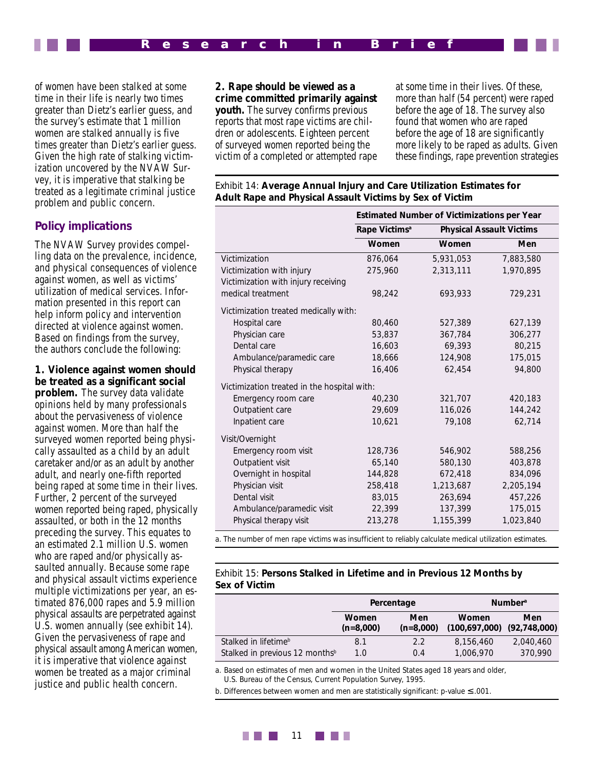of women have been stalked at some time in their life is nearly two times greater than Dietz's earlier guess, and the survey's estimate that 1 million women are stalked annually is five times greater than Dietz's earlier guess. Given the high rate of stalking victimization uncovered by the NVAW Survey, it is imperative that stalking be treated as a legitimate criminal justice problem and public concern.

## **Policy implications**

The NVAW Survey provides compelling data on the prevalence, incidence, and physical consequences of violence against women, as well as victims' utilization of medical services. Information presented in this report can help inform policy and intervention directed at violence against women. Based on findings from the survey, the authors conclude the following:

**1. Violence against women should be treated as a significant social problem.** The survey data validate opinions held by many professionals about the pervasiveness of violence against women. More than half the surveyed women reported being physically assaulted as a child by an adult caretaker and/or as an adult by another adult, and nearly one-fifth reported being raped at some time in their lives. Further, 2 percent of the surveyed women reported being raped, physically assaulted, or both in the 12 months preceding the survey. This equates to an estimated 2.1 million U.S. women who are raped and/or physically assaulted annually. Because some rape and physical assault victims experience multiple victimizations per year, an estimated 876,000 rapes and 5.9 million physical assaults are perpetrated against U.S. women annually (see exhibit 14). Given the pervasiveness of rape and physical assault among American women, it is imperative that violence against women be treated as a major criminal justice and public health concern.

**2. Rape should be viewed as a crime committed primarily against youth.** The survey confirms previous reports that most rape victims are children or adolescents. Eighteen percent of surveyed women reported being the victim of a completed or attempted rape

at some time in their lives. Of these, more than half (54 percent) were raped before the age of 18. The survey also found that women who are raped before the age of 18 are significantly more likely to be raped as adults. Given these findings, rape prevention strategies

|                                             | Estimated Number of Victimizations per Year |           |                                 |  |
|---------------------------------------------|---------------------------------------------|-----------|---------------------------------|--|
|                                             | Rape Victims <sup>a</sup>                   |           | <b>Physical Assault Victims</b> |  |
|                                             | Women                                       | Women     | Men                             |  |
| Victimization                               | 876,064                                     | 5,931,053 | 7,883,580                       |  |
| Victimization with injury                   | 275,960                                     | 2,313,111 | 1,970,895                       |  |
| Victimization with injury receiving         |                                             |           |                                 |  |
| medical treatment                           | 98,242                                      | 693,933   | 729,231                         |  |
| Victimization treated medically with:       |                                             |           |                                 |  |
| Hospital care                               | 80,460                                      | 527,389   | 627,139                         |  |
| Physician care                              | 53,837                                      | 367,784   | 306,277                         |  |
| Dental care                                 | 16,603                                      | 69,393    | 80,215                          |  |
| Ambulance/paramedic care                    | 18,666                                      | 124,908   | 175,015                         |  |
| Physical therapy                            | 16,406                                      | 62,454    | 94,800                          |  |
| Victimization treated in the hospital with: |                                             |           |                                 |  |
| Emergency room care                         | 40,230                                      | 321,707   | 420,183                         |  |
| Outpatient care                             | 29,609                                      | 116,026   | 144,242                         |  |
| Inpatient care                              | 10,621                                      | 79,108    | 62,714                          |  |
| Visit/Overnight                             |                                             |           |                                 |  |
| Emergency room visit                        | 128,736                                     | 546,902   | 588,256                         |  |
| Outpatient visit                            | 65,140                                      | 580,130   | 403,878                         |  |
| Overnight in hospital                       | 144,828                                     | 672,418   | 834,096                         |  |
| Physician visit                             | 258,418                                     | 1,213,687 | 2,205,194                       |  |
| Dental visit                                | 83,015                                      | 263,694   | 457,226                         |  |
| Ambulance/paramedic visit                   | 22,399                                      | 137,399   | 175,015                         |  |
| Physical therapy visit                      | 213,278                                     | 1,155,399 | 1,023,840                       |  |

*Exhibit 14: Average Annual Injury and Care Utilization Estimates for Adult Rape and Physical Assault Victims by Sex of Victim*

a. The number of men rape victims was insufficient to reliably calculate medical utilization estimates.

#### *Exhibit 15: Persons Stalked in Lifetime and in Previous 12 Months by Sex of Victim*

|                                            | Percentage           |                    | Number <sup>a</sup>                     |           |
|--------------------------------------------|----------------------|--------------------|-----------------------------------------|-----------|
|                                            | Women<br>$(n=8,000)$ | Men<br>$(n=8,000)$ | Women<br>$(100,697,000)$ $(92,748,000)$ | Men       |
| Stalked in lifetime <sup>b</sup>           | 8.1                  | 2.2                | 8,156,460                               | 2,040,460 |
| Stalked in previous 12 months <sup>b</sup> | 1.0                  | 0.4                | 1,006,970                               | 370,990   |

a. Based on estimates of men and women in the United States aged 18 years and older, U.S. Bureau of the Census, Current Population Survey, 1995.

b. Differences between women and men are statistically significant: p-value ≤ .001.

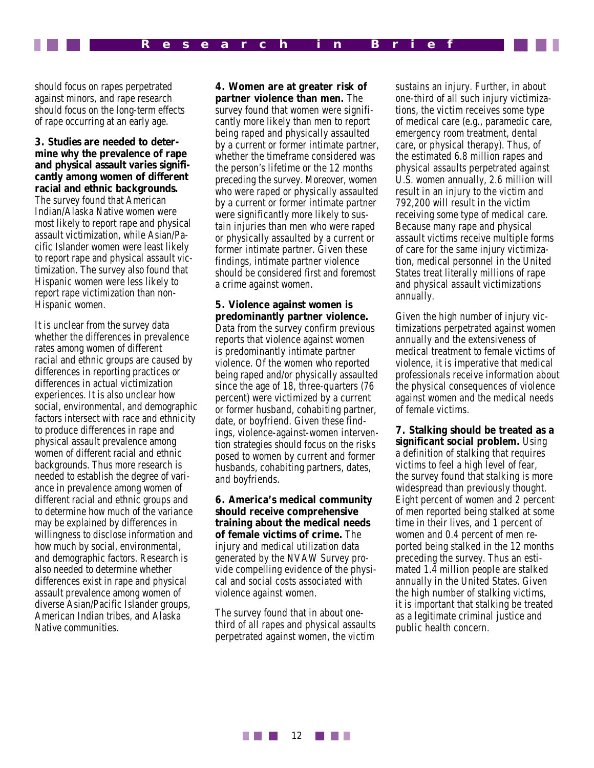should focus on rapes perpetrated against minors, and rape research should focus on the long-term effects of rape occurring at an early age.

#### **3. Studies are needed to determine why the prevalence of rape and physical assault varies significantly among women of different racial and ethnic backgrounds.**

The survey found that American Indian/Alaska Native women were most likely to report rape and physical assault victimization, while Asian/Pacific Islander women were least likely to report rape and physical assault victimization. The survey also found that Hispanic women were less likely to report rape victimization than non-Hispanic women.

It is unclear from the survey data whether the differences in prevalence rates among women of different racial and ethnic groups are caused by differences in reporting practices or differences in actual victimization experiences. It is also unclear how social, environmental, and demographic factors intersect with race and ethnicity to produce differences in rape and physical assault prevalence among women of different racial and ethnic backgrounds. Thus more research is needed to establish the degree of variance in prevalence among women of different racial and ethnic groups and to determine how much of the variance may be explained by differences in willingness to disclose information and how much by social, environmental, and demographic factors. Research is also needed to determine whether differences exist in rape and physical assault prevalence among women of diverse Asian/Pacific Islander groups, American Indian tribes, and Alaska Native communities.

#### **4. Women are at greater risk of partner violence than men.** The

survey found that women were significantly more likely than men to report being raped and physically assaulted by a current or former intimate partner, whether the timeframe considered was the person's lifetime or the 12 months preceding the survey. Moreover, women who were raped or physically assaulted by a current or former intimate partner were significantly more likely to sustain injuries than men who were raped or physically assaulted by a current or former intimate partner. Given these findings, intimate partner violence should be considered first and foremost a crime against women.

#### **5. Violence against women is predominantly partner violence.**

Data from the survey confirm previous reports that violence against women is predominantly intimate partner violence. Of the women who reported being raped and/or physically assaulted since the age of 18, three-quarters (76 percent) were victimized by a current or former husband, cohabiting partner, date, or boyfriend. Given these findings, violence-against-women intervention strategies should focus on the risks posed to women by current and former husbands, cohabiting partners, dates, and boyfriends.

#### **6. America's medical community should receive comprehensive training about the medical needs of female victims of crime.** The injury and medical utilization data generated by the NVAW Survey provide compelling evidence of the physical and social costs associated with violence against women.

The survey found that in about onethird of all rapes and physical assaults perpetrated against women, the victim

sustains an injury. Further, in about one-third of all such injury victimizations, the victim receives some type of medical care (e.g., paramedic care, emergency room treatment, dental care, or physical therapy). Thus, of the estimated 6.8 million rapes and physical assaults perpetrated against U.S. women annually, 2.6 million will result in an injury to the victim and 792,200 will result in the victim receiving some type of medical care. Because many rape and physical assault victims receive multiple forms of care for the same injury victimization, medical personnel in the United States treat literally millions of rape and physical assault victimizations annually.

Given the high number of injury victimizations perpetrated against women annually and the extensiveness of medical treatment to female victims of violence, it is imperative that medical professionals receive information about the physical consequences of violence against women and the medical needs of female victims.

**7. Stalking should be treated as a significant social problem.** Using a definition of stalking that requires victims to feel a high level of fear, the survey found that stalking is more widespread than previously thought. Eight percent of women and 2 percent of men reported being stalked at some time in their lives, and 1 percent of women and 0.4 percent of men reported being stalked in the 12 months preceding the survey. Thus an estimated 1.4 million people are stalked annually in the United States. Given the high number of stalking victims, it is important that stalking be treated as a legitimate criminal justice and public health concern.

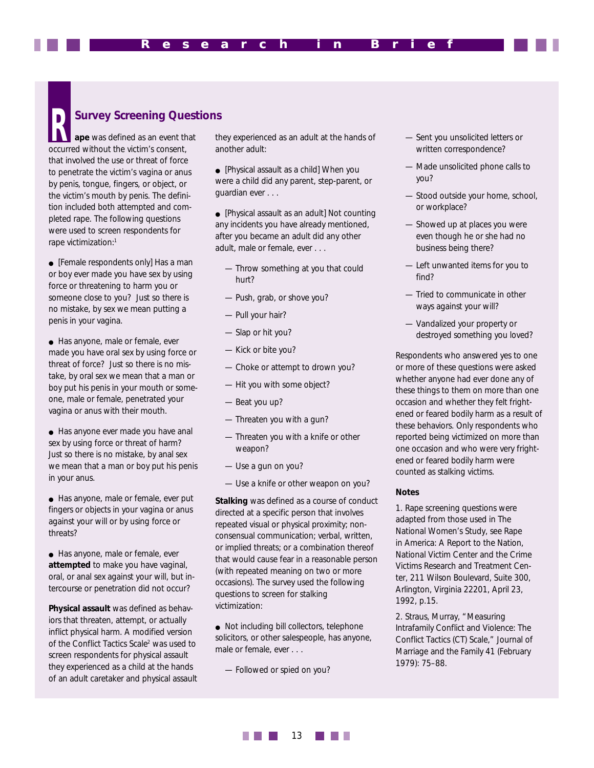# **Survey Screening Questions**

**ape** was defined as an event that occurred without the victim's consent, that involved the use or threat of force to penetrate the victim's vagina or anus by penis, tongue, fingers, or object, or the victim's mouth by penis. The definition included both attempted and completed rape. The following questions were used to screen respondents for rape victimization:1

● *[Female respondents only] Has a man or boy ever made you have sex by using force or threatening to harm you or someone close to you? Just so there is no mistake, by sex we mean putting a penis in your vagina.*

● *Has anyone, male or female, ever made you have oral sex by using force or threat of force? Just so there is no mistake, by oral sex we mean that a man or boy put his penis in your mouth or someone, male or female, penetrated your vagina or anus with their mouth.*

● *Has anyone ever made you have anal sex by using force or threat of harm? Just so there is no mistake, by anal sex we mean that a man or boy put his penis in your anus.*

● *Has anyone, male or female, ever put fingers or objects in your vagina or anus against your will or by using force or threats?*

● *Has anyone, male or female, ever attempted to make you have vaginal, oral, or anal sex against your will, but intercourse or penetration did not occur?*

**Physical assault** was defined as behaviors that threaten, attempt, or actually inflict physical harm. A modified version of the Conflict Tactics Scale<sup>2</sup> was used to screen respondents for physical assault they experienced as a child at the hands of an adult caretaker and physical assault they experienced as an adult at the hands of another adult:

● *[Physical assault as a child] When you were a child did any parent, step-parent, or guardian ever* . . .

● *[Physical assault as an adult] Not counting any incidents you have already mentioned, after you became an adult did any other adult, male or female, ever . . .*

- *Throw something at you that could hurt?*
- *Push, grab, or shove you?*
- *Pull your hair?*
- *Slap or hit you?*
- *Kick or bite you?*
- *Choke or attempt to drown you?*
- *Hit you with some object?*
- *Beat you up?*
- *Threaten you with a gun?*
- *Threaten you with a knife or other weapon?*
- *Use a gun on you?*
- *Use a knife or other weapon on you?*

**Stalking** was defined as a course of conduct directed at a specific person that involves *repeated* visual or physical proximity; nonconsensual communication; verbal, written, or implied threats; or a combination thereof that would cause fear in a reasonable person (with *repeated* meaning on two or more occasions). The survey used the following questions to screen for stalking victimization:

● *Not including bill collectors, telephone solicitors, or other salespeople, has anyone, male or female, ever . . .*

*— Followed or spied on you?*

- *Sent you unsolicited letters or written correspondence?*
- *Made unsolicited phone calls to you?*
- *Stood outside your home, school, or workplace?*
- *Showed up at places you were even though he or she had no business being there?*
- *Left unwanted items for you to find?*
- *Tried to communicate in other ways against your will?*
- *Vandalized your property or destroyed something you loved?*

Respondents who answered *yes* to one or more of these questions were asked whether anyone had ever done any of these things to them on more than one occasion and whether they felt frightened or feared bodily harm as a result of these behaviors. Only respondents who reported being victimized *on more than one occasion* and who were *very frightened* or *feared bodily harm* were counted as stalking victims.

#### **Notes**

1. Rape screening questions were adapted from those used in The National Women's Study, see *Rape in America: A Report to the Nation*, National Victim Center and the Crime Victims Research and Treatment Center, 211 Wilson Boulevard, Suite 300, Arlington, Virginia 22201, April 23, 1992, p.15.

2. Straus, Murray, "Measuring Intrafamily Conflict and Violence: The Conflict Tactics (CT) Scale," *Journal of Marriage and the Family* 41 (February 1979): 75–88.

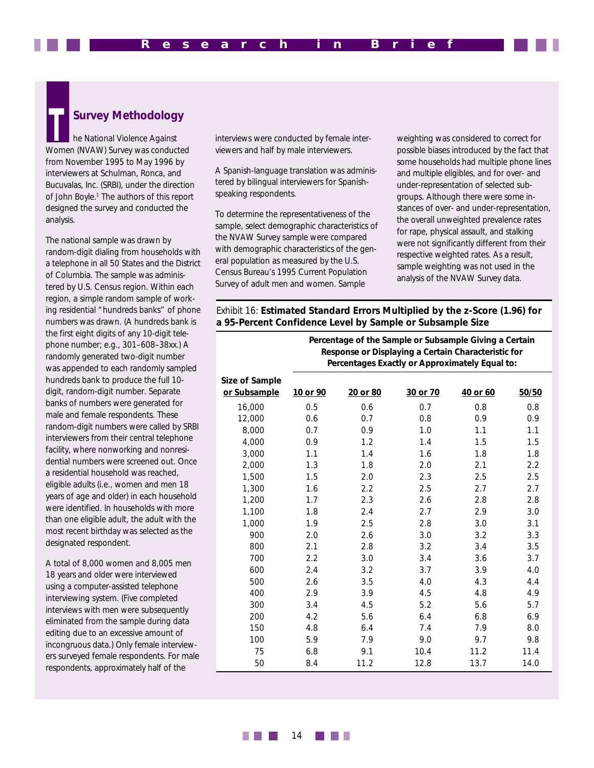# **T Survey Methodology**

he National Violence Against Women (NVAW) Survey was conducted from November 1995 to May 1996 by interviewers at Schulman, Ronca, and Bucuvalas, Inc. (SRBI), under the direction of John Boyle.<sup>1</sup> The authors of this report designed the survey and conducted the analysis.

The national sample was drawn by random-digit dialing from households with a telephone in all 50 States and the District of Columbia. The sample was administered by U.S. Census region. Within each region, a simple random sample of working residential "hundreds banks" of phone numbers was drawn. (A hundreds bank is the first eight digits of any 10-digit telephone number; e.g., 301–608–38xx.) A randomly generated two-digit number was appended to each randomly sampled hundreds bank to produce the full 10 digit, random-digit number. Separate banks of numbers were generated for male and female respondents. These random-digit numbers were called by SRBI interviewers from their central telephone facility, where nonworking and nonresidential numbers were screened out. Once a residential household was reached, eligible adults (i.e., women and men 18 years of age and older) in each household were identified. In households with more than one eligible adult, the adult with the most recent birthday was selected as the designated respondent.

A total of 8,000 women and 8,005 men 18 years and older were interviewed using a computer-assisted telephone interviewing system. (Five completed interviews with men were subsequently eliminated from the sample during data editing due to an excessive amount of incongruous data.) Only female interviewers surveyed female respondents. For male respondents, approximately half of the

interviews were conducted by female interviewers and half by male interviewers.

A Spanish-language translation was administered by bilingual interviewers for Spanishspeaking respondents.

To determine the representativeness of the sample, select demographic characteristics of the NVAW Survey sample were compared with demographic characteristics of the general population as measured by the U.S. Census Bureau's 1995 Current Population Survey of adult men and women. Sample

weighting was considered to correct for possible biases introduced by the fact that some households had multiple phone lines and multiple eligibles, and for over- and under-representation of selected subgroups. Although there were some instances of over- and under-representation, the overall unweighted prevalence rates for rape, physical assault, and stalking were not significantly different from their respective weighted rates. As a result, sample weighting was not used in the analysis of the NVAW Survey data.

#### *Exhibit 16: Estimated Standard Errors Multiplied by the z-Score (1.96) for a 95-Percent Confidence Level by Sample or Subsample Size*

**Percentage of the Sample or Subsample Giving a Certain**

|                | Response or Displaying a Certain Characteristic for<br>Percentages Exactly or Approximately Equal to: |          |          |          |       |  |  |
|----------------|-------------------------------------------------------------------------------------------------------|----------|----------|----------|-------|--|--|
| Size of Sample |                                                                                                       |          |          |          |       |  |  |
| or Subsample   | 10 or 90                                                                                              | 20 or 80 | 30 or 70 | 40 or 60 | 50/50 |  |  |
| 16,000         | 0.5                                                                                                   | 0.6      | 0.7      | 0.8      | 0.8   |  |  |
| 12,000         | 0.6                                                                                                   | 0.7      | 0.8      | 0.9      | 0.9   |  |  |
| 8,000          | 0.7                                                                                                   | 0.9      | 1.0      | 1.1      | 1.1   |  |  |
| 4,000          | 0.9                                                                                                   | 1.2      | 1.4      | 1.5      | 1.5   |  |  |
| 3,000          | 1.1                                                                                                   | 1.4      | 1.6      | 1.8      | 1.8   |  |  |
| 2,000          | 1.3                                                                                                   | 1.8      | 2.0      | 2.1      | 2.2   |  |  |
| 1,500          | 1.5                                                                                                   | 2.0      | 2.3      | 2.5      | 2.5   |  |  |
| 1,300          | 1.6                                                                                                   | 2.2      | 2.5      | 2.7      | 2.7   |  |  |
| 1,200          | 1.7                                                                                                   | 2.3      | 2.6      | 2.8      | 2.8   |  |  |
| 1,100          | 1.8                                                                                                   | 2.4      | 2.7      | 2.9      | 3.0   |  |  |
| 1,000          | 1.9                                                                                                   | 2.5      | 2.8      | 3.0      | 3.1   |  |  |
| 900            | 2.0                                                                                                   | 2.6      | 3.0      | 3.2      | 3.3   |  |  |
| 800            | 2.1                                                                                                   | 2.8      | 3.2      | 3.4      | 3.5   |  |  |
| 700            | 2.2                                                                                                   | 3.0      | 3.4      | 3.6      | 3.7   |  |  |
| 600            | 2.4                                                                                                   | 3.2      | 3.7      | 3.9      | 4.0   |  |  |
| 500            | 2.6                                                                                                   | 3.5      | 4.0      | 4.3      | 4.4   |  |  |
| 400            | 2.9                                                                                                   | 3.9      | 4.5      | 4.8      | 4.9   |  |  |
| 300            | 3.4                                                                                                   | 4.5      | 5.2      | 5.6      | 5.7   |  |  |
| 200            | 4.2                                                                                                   | 5.6      | 6.4      | 6.8      | 6.9   |  |  |
| 150            | 4.8                                                                                                   | 6.4      | 7.4      | 7.9      | 8.0   |  |  |
| 100            | 5.9                                                                                                   | 7.9      | 9.0      | 9.7      | 9.8   |  |  |
| 75             | 6.8                                                                                                   | 9.1      | 10.4     | 11.2     | 11.4  |  |  |
| 50             | 8.4                                                                                                   | 11.2     | 12.8     | 13.7     | 14.0  |  |  |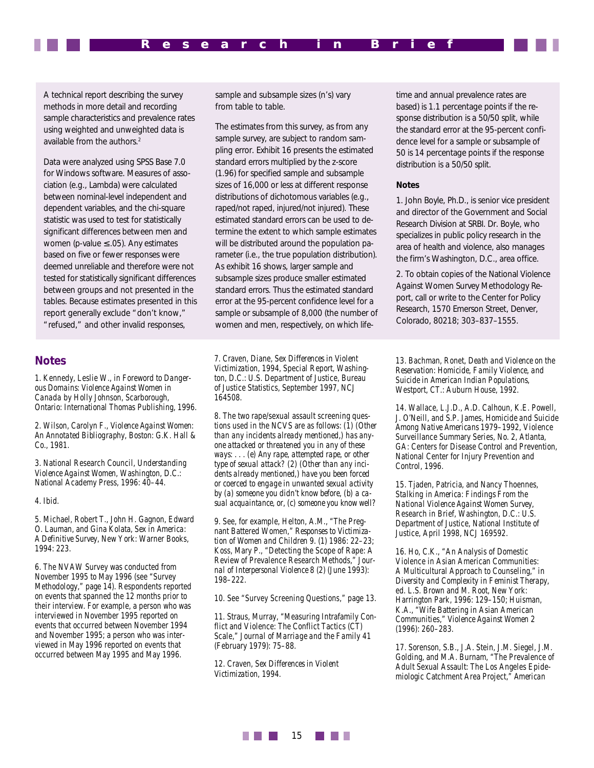A technical report describing the survey methods in more detail and recording sample characteristics and prevalence rates using weighted and unweighted data is available from the authors.<sup>2</sup>

Data were analyzed using SPSS Base 7.0 for Windows software. Measures of association (e.g., Lambda) were calculated between nominal-level independent and dependent variables, and the chi-square statistic was used to test for statistically significant differences between men and women (p-value ≤ .05). Any estimates based on five or fewer responses were deemed unreliable and therefore were not tested for statistically significant differences between groups and not presented in the tables. Because estimates presented in this report generally exclude "don't know," "refused," and other invalid responses,

sample and subsample sizes (n's) vary from table to table.

The estimates from this survey, as from any sample survey, are subject to random sampling error. Exhibit 16 presents the estimated standard errors multiplied by the z-score (1.96) for specified sample and subsample sizes of 16,000 or less at different response distributions of dichotomous variables (e.g., raped/not raped, injured/not injured). These estimated standard errors can be used to determine the extent to which sample estimates will be distributed around the population parameter (i.e., the true population distribution). As exhibit 16 shows, larger sample and subsample sizes produce smaller estimated standard errors. Thus the estimated standard error at the 95-percent confidence level for a sample or subsample of 8,000 (the number of women and men, respectively, on which life-

#### **Notes**

1. Kennedy, Leslie W., in Foreword to *Dangerous Domains: Violence Against Women in Canada* by Holly Johnson, Scarborough, Ontario: International Thomas Publishing, 1996.

2. Wilson, Carolyn F., *Violence Against Women: An Annotated Bibliography*, Boston: G.K. Hall & Co., 1981.

3. National Research Council, *Understanding Violence Against Women,* Washington, D.C.: National Academy Press, 1996: 40–44.

4. Ibid.

5. Michael, Robert T., John H. Gagnon, Edward O. Lauman, and Gina Kolata, *Sex in America: A Definitive Survey*, New York: Warner Books, 1994: 223.

6. The NVAW Survey was conducted from November 1995 to May 1996 (see "Survey Methodology," page 14). Respondents reported on events that spanned the 12 months prior to their interview. For example, a person who was interviewed in November 1995 reported on events that occurred between November 1994 and November 1995; a person who was interviewed in May 1996 reported on events that occurred between May 1995 and May 1996.

7. Craven, Diane, *Sex Differences in Violent Victimization, 1994,* Special Report, Washington, D.C.: U.S. Department of Justice, Bureau of Justice Statistics, September 1997, NCJ 164508.

8. The two rape/sexual assault screening questions used in the NCVS are as follows: *(1) (Other than any incidents already mentioned,) has anyone attacked or threatened you in any of these ways: . . . (e) Any rape, attempted rape, or other type of sexual attack? (2) (Other than any incidents already mentioned,) have you been forced or coerced to engage in unwanted sexual activity by (a) someone you didn't know before, (b) a casual acquaintance, or, (c) someone you know well?*

9. See, for example, Helton, A.M., "The Pregnant Battered Women," *Responses to Victimization of Women and Children* 9. (1) 1986: 22–23; Koss, Mary P., "Detecting the Scope of Rape: A Review of Prevalence Research Methods," *Journal of Interpersonal Violence* 8 (2) (June 1993): 198–222.

10. See "Survey Screening Questions," page 13.

11. Straus, Murray, "Measuring Intrafamily Conflict and Violence: The Conflict Tactics (CT) Scale," *Journal of Marriage and the Family* 41 (February 1979): 75–88.

12. Craven, *Sex Differences in Violent Victimization*, *1994*.

time and annual prevalence rates are based) is 1.1 percentage points if the response distribution is a 50/50 split, while the standard error at the 95-percent confidence level for a sample or subsample of 50 is 14 percentage points if the response distribution is a 50/50 split.

#### **Notes**

1. John Boyle, Ph.D., is senior vice president and director of the Government and Social Research Division at SRBI. Dr. Boyle, who specializes in public policy research in the area of health and violence, also manages the firm's Washington, D.C., area office.

2. To obtain copies of the *National Violence Against Women Survey Methodology Report*, call or write to the Center for Policy Research, 1570 Emerson Street, Denver, Colorado, 80218; 303–837–1555.

13. Bachman, Ronet, *Death and Violence on the Reservation: Homicide, Family Violence, and Suicide in American Indian Populations,* Westport, CT.: Auburn House, 1992.

14. Wallace, L.J.D., A.D. Calhoun, K.E. Powell, J. O'Neill, and S.P. James, *Homicide and Suicide Among Native Americans 1979–1992,* Violence Surveillance Summary Series, No. 2, Atlanta, GA: Centers for Disease Control and Prevention, National Center for Injury Prevention and Control, 1996.

15. Tjaden, Patricia, and Nancy Thoennes, *Stalking in America: Findings From the National Violence Against Women Survey,* Research in Brief, Washington, D.C.: U.S. Department of Justice, National Institute of Justice, April 1998, NCJ 169592.

16. Ho, C.K., "An Analysis of Domestic Violence in Asian American Communities: A Multicultural Approach to Counseling," in *Diversity and Complexity in Feminist Therapy,* ed. L.S. Brown and M. Root, New York: Harrington Park, 1996: 129–150; Huisman, K.A., "Wife Battering in Asian American Communities," *Violence Against Women* 2 (1996): 260–283.

17. Sorenson, S.B., J.A. Stein, J.M. Siegel, J.M. Golding, and M.A. Burnam, "The Prevalence of Adult Sexual Assault: The Los Angeles Epidemiologic Catchment Area Project," *American*